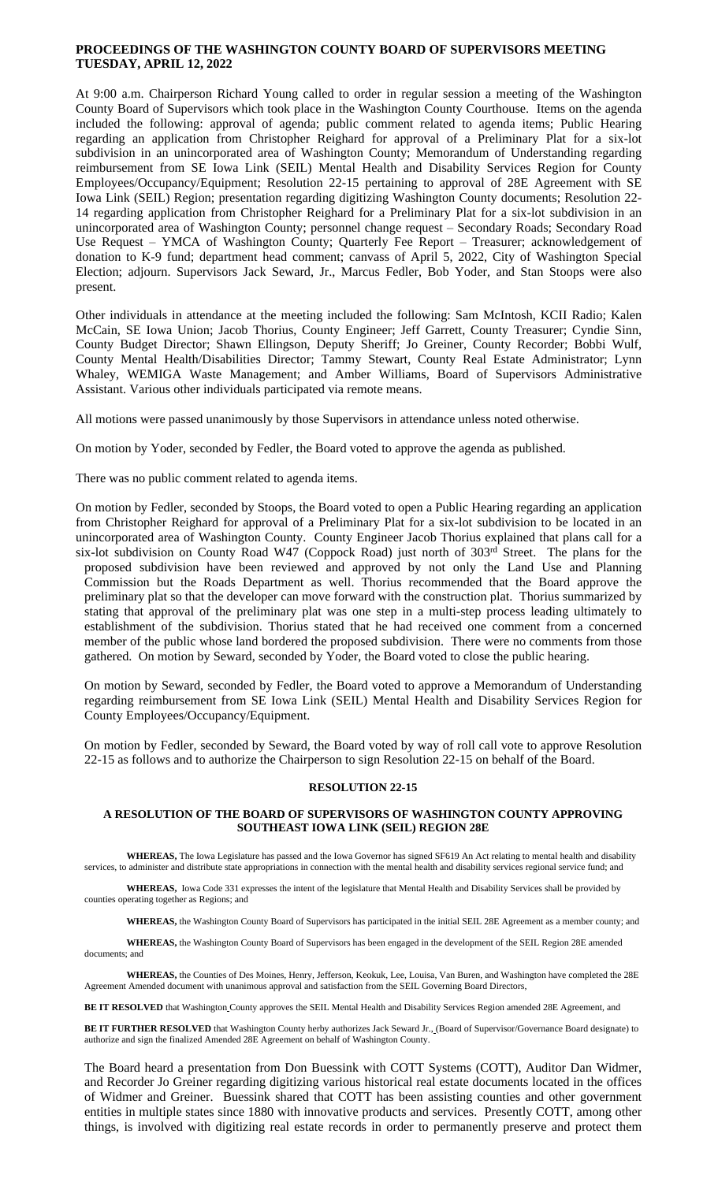# **PROCEEDINGS OF THE WASHINGTON COUNTY BOARD OF SUPERVISORS MEETING TUESDAY, APRIL 12, 2022**

At 9:00 a.m. Chairperson Richard Young called to order in regular session a meeting of the Washington County Board of Supervisors which took place in the Washington County Courthouse. Items on the agenda included the following: approval of agenda; public comment related to agenda items; Public Hearing regarding an application from Christopher Reighard for approval of a Preliminary Plat for a six-lot subdivision in an unincorporated area of Washington County; Memorandum of Understanding regarding reimbursement from SE Iowa Link (SEIL) Mental Health and Disability Services Region for County Employees/Occupancy/Equipment; Resolution 22-15 pertaining to approval of 28E Agreement with SE Iowa Link (SEIL) Region; presentation regarding digitizing Washington County documents; Resolution 22- 14 regarding application from Christopher Reighard for a Preliminary Plat for a six-lot subdivision in an unincorporated area of Washington County; personnel change request – Secondary Roads; Secondary Road Use Request – YMCA of Washington County; Quarterly Fee Report – Treasurer; acknowledgement of donation to K-9 fund; department head comment; canvass of April 5, 2022, City of Washington Special Election; adjourn. Supervisors Jack Seward, Jr., Marcus Fedler, Bob Yoder, and Stan Stoops were also present.

Other individuals in attendance at the meeting included the following: Sam McIntosh, KCII Radio; Kalen McCain, SE Iowa Union; Jacob Thorius, County Engineer; Jeff Garrett, County Treasurer; Cyndie Sinn, County Budget Director; Shawn Ellingson, Deputy Sheriff; Jo Greiner, County Recorder; Bobbi Wulf, County Mental Health/Disabilities Director; Tammy Stewart, County Real Estate Administrator; Lynn Whaley, WEMIGA Waste Management; and Amber Williams, Board of Supervisors Administrative Assistant. Various other individuals participated via remote means.

All motions were passed unanimously by those Supervisors in attendance unless noted otherwise.

On motion by Yoder, seconded by Fedler, the Board voted to approve the agenda as published.

There was no public comment related to agenda items.

On motion by Fedler, seconded by Stoops, the Board voted to open a Public Hearing regarding an application from Christopher Reighard for approval of a Preliminary Plat for a six-lot subdivision to be located in an unincorporated area of Washington County. County Engineer Jacob Thorius explained that plans call for a six-lot subdivision on County Road W47 (Coppock Road) just north of 303rd Street. The plans for the proposed subdivision have been reviewed and approved by not only the Land Use and Planning Commission but the Roads Department as well. Thorius recommended that the Board approve the preliminary plat so that the developer can move forward with the construction plat. Thorius summarized by stating that approval of the preliminary plat was one step in a multi-step process leading ultimately to establishment of the subdivision. Thorius stated that he had received one comment from a concerned member of the public whose land bordered the proposed subdivision. There were no comments from those gathered. On motion by Seward, seconded by Yoder, the Board voted to close the public hearing.

On motion by Seward, seconded by Fedler, the Board voted to approve a Memorandum of Understanding regarding reimbursement from SE Iowa Link (SEIL) Mental Health and Disability Services Region for County Employees/Occupancy/Equipment.

On motion by Fedler, seconded by Seward, the Board voted by way of roll call vote to approve Resolution 22-15 as follows and to authorize the Chairperson to sign Resolution 22-15 on behalf of the Board.

#### **RESOLUTION 22-15**

## **A RESOLUTION OF THE BOARD OF SUPERVISORS OF WASHINGTON COUNTY APPROVING SOUTHEAST IOWA LINK (SEIL) REGION 28E**

**WHEREAS,** The Iowa Legislature has passed and the Iowa Governor has signed SF619 An Act relating to mental health and disability services, to administer and distribute state appropriations in connection with the mental health and disability services regional service fund; and

**WHEREAS,** Iowa Code 331 expresses the intent of the legislature that Mental Health and Disability Services shall be provided by counties operating together as Regions; and

**WHEREAS,** the Washington County Board of Supervisors has participated in the initial SEIL 28E Agreement as a member county; and

**WHEREAS,** the Washington County Board of Supervisors has been engaged in the development of the SEIL Region 28E amended documents; and

**WHEREAS,** the Counties of Des Moines, Henry, Jefferson, Keokuk, Lee, Louisa, Van Buren, and Washington have completed the 28E Agreement Amended document with unanimous approval and satisfaction from the SEIL Governing Board Directors,

**BE IT RESOLVED** that Washington County approves the SEIL Mental Health and Disability Services Region amended 28E Agreement, and

**BE IT FURTHER RESOLVED** that Washington County herby authorizes Jack Seward Jr., (Board of Supervisor/Governance Board designate) to authorize and sign the finalized Amended 28E Agreement on behalf of Washington County.

The Board heard a presentation from Don Buessink with COTT Systems (COTT), Auditor Dan Widmer, and Recorder Jo Greiner regarding digitizing various historical real estate documents located in the offices of Widmer and Greiner. Buessink shared that COTT has been assisting counties and other government entities in multiple states since 1880 with innovative products and services. Presently COTT, among other things, is involved with digitizing real estate records in order to permanently preserve and protect them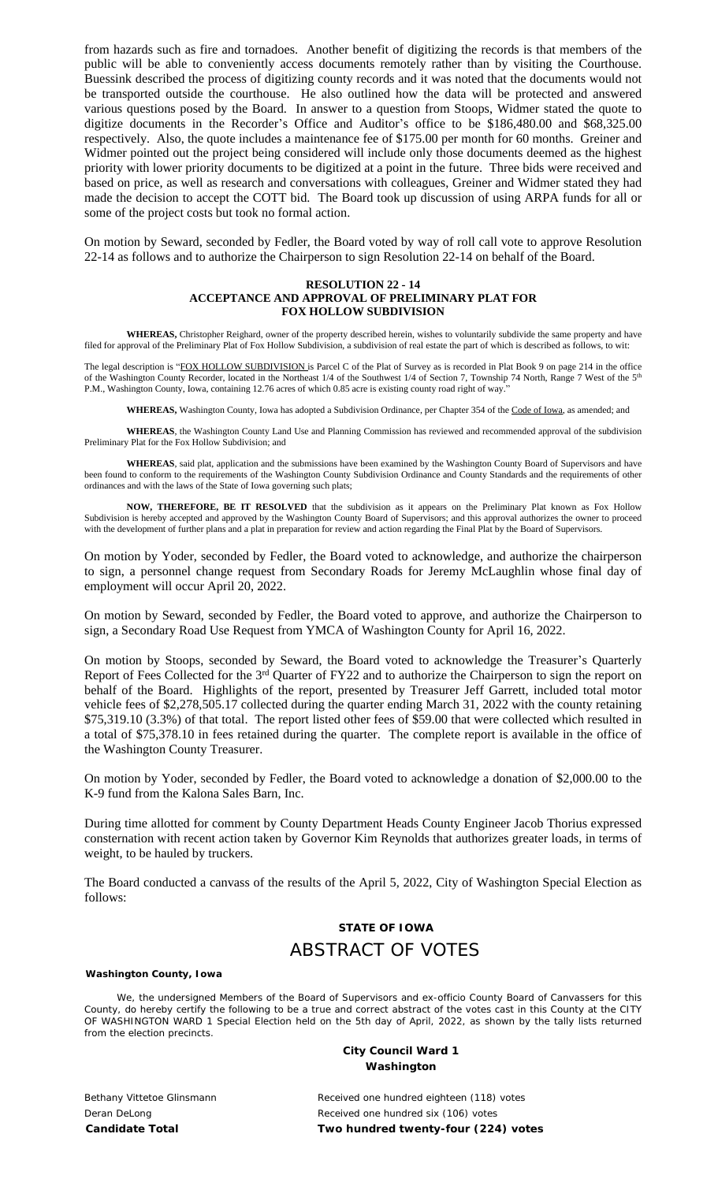from hazards such as fire and tornadoes. Another benefit of digitizing the records is that members of the public will be able to conveniently access documents remotely rather than by visiting the Courthouse. Buessink described the process of digitizing county records and it was noted that the documents would not be transported outside the courthouse. He also outlined how the data will be protected and answered various questions posed by the Board. In answer to a question from Stoops, Widmer stated the quote to digitize documents in the Recorder's Office and Auditor's office to be \$186,480.00 and \$68,325.00 respectively. Also, the quote includes a maintenance fee of \$175.00 per month for 60 months. Greiner and Widmer pointed out the project being considered will include only those documents deemed as the highest priority with lower priority documents to be digitized at a point in the future. Three bids were received and based on price, as well as research and conversations with colleagues, Greiner and Widmer stated they had made the decision to accept the COTT bid. The Board took up discussion of using ARPA funds for all or some of the project costs but took no formal action.

On motion by Seward, seconded by Fedler, the Board voted by way of roll call vote to approve Resolution 22-14 as follows and to authorize the Chairperson to sign Resolution 22-14 on behalf of the Board.

### **RESOLUTION 22 - 14 ACCEPTANCE AND APPROVAL OF PRELIMINARY PLAT FOR FOX HOLLOW SUBDIVISION**

**WHEREAS,** Christopher Reighard, owner of the property described herein, wishes to voluntarily subdivide the same property and have filed for approval of the Preliminary Plat of Fox Hollow Subdivision, a subdivision of real estate the part of which is described as follows, to wit:

The legal description is "FOX HOLLOW SUBDIVISION is Parcel C of the Plat of Survey as is recorded in Plat Book 9 on page 214 in the office of the Washington County Recorder, located in the Northeast 1/4 of the Southwest 1/4 of Section 7, Township 74 North, Range 7 West of the 5<sup>th</sup> P.M., Washington County, Iowa, containing 12.76 acres of which 0.85 acre is existing county road right of way.

**WHEREAS,** Washington County, Iowa has adopted a Subdivision Ordinance, per Chapter 354 of the Code of Iowa, as amended; and

**WHEREAS**, the Washington County Land Use and Planning Commission has reviewed and recommended approval of the subdivision Preliminary Plat for the Fox Hollow Subdivision; and

**WHEREAS**, said plat, application and the submissions have been examined by the Washington County Board of Supervisors and have been found to conform to the requirements of the Washington County Subdivision Ordinance and County Standards and the requirements of other ordinances and with the laws of the State of Iowa governing such plats;

**NOW, THEREFORE, BE IT RESOLVED** that the subdivision as it appears on the Preliminary Plat known as Fox Hollow Subdivision is hereby accepted and approved by the Washington County Board of Supervisors; and this approval authorizes the owner to proceed with the development of further plans and a plat in preparation for review and action regarding the Final Plat by the Board of Supervisors.

On motion by Yoder, seconded by Fedler, the Board voted to acknowledge, and authorize the chairperson to sign, a personnel change request from Secondary Roads for Jeremy McLaughlin whose final day of employment will occur April 20, 2022.

On motion by Seward, seconded by Fedler, the Board voted to approve, and authorize the Chairperson to sign, a Secondary Road Use Request from YMCA of Washington County for April 16, 2022.

On motion by Stoops, seconded by Seward, the Board voted to acknowledge the Treasurer's Quarterly Report of Fees Collected for the 3<sup>rd</sup> Quarter of FY22 and to authorize the Chairperson to sign the report on behalf of the Board. Highlights of the report, presented by Treasurer Jeff Garrett, included total motor vehicle fees of \$2,278,505.17 collected during the quarter ending March 31, 2022 with the county retaining \$75,319.10 (3.3%) of that total. The report listed other fees of \$59.00 that were collected which resulted in a total of \$75,378.10 in fees retained during the quarter. The complete report is available in the office of the Washington County Treasurer.

On motion by Yoder, seconded by Fedler, the Board voted to acknowledge a donation of \$2,000.00 to the K-9 fund from the Kalona Sales Barn, Inc.

During time allotted for comment by County Department Heads County Engineer Jacob Thorius expressed consternation with recent action taken by Governor Kim Reynolds that authorizes greater loads, in terms of weight, to be hauled by truckers.

The Board conducted a canvass of the results of the April 5, 2022, City of Washington Special Election as follows:

# **STATE OF IOWA** ABSTRACT OF VOTES

### **Washington County, Iowa**

We, the undersigned Members of the Board of Supervisors and ex-officio County Board of Canvassers for this County, do hereby certify the following to be a true and correct abstract of the votes cast in this County at the CITY OF WASHINGTON WARD 1 Special Election held on the 5th day of April, 2022, as shown by the tally lists returned from the election precincts.

## **City Council Ward 1 Washington**

Bethany Vittetoe Glinsmann **Received one hundred eighteen (118)** votes Deran DeLong **Received** one hundred six (106) votes **Candidate Total Two hundred twenty-four (224) votes**